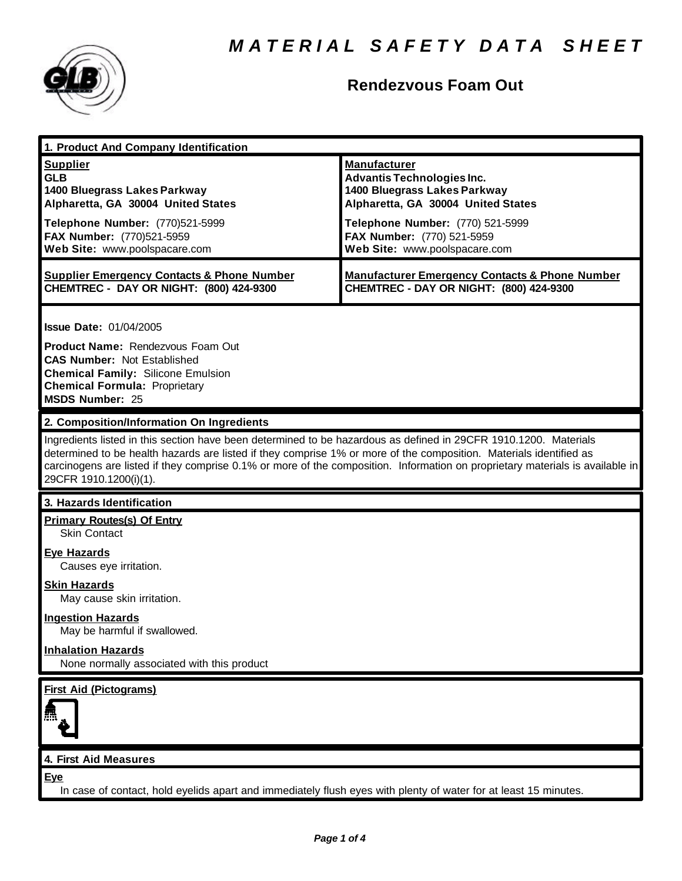

# **Rendezvous Foam Out**

| 1. Product And Company Identification                                                                                                                                                                                                                                                                                                                                                             |                                                                                                                                                                                                                                   |
|---------------------------------------------------------------------------------------------------------------------------------------------------------------------------------------------------------------------------------------------------------------------------------------------------------------------------------------------------------------------------------------------------|-----------------------------------------------------------------------------------------------------------------------------------------------------------------------------------------------------------------------------------|
| <b>Supplier</b><br><b>GLB</b><br>1400 Bluegrass Lakes Parkway<br>Alpharetta, GA 30004 United States<br>Telephone Number: (770)521-5999<br>FAX Number: (770)521-5959<br>Web Site: www.poolspacare.com                                                                                                                                                                                              | <b>Manufacturer</b><br><b>Advantis Technologies Inc.</b><br>1400 Bluegrass Lakes Parkway<br>Alpharetta, GA 30004 United States<br>Telephone Number: (770) 521-5999<br>FAX Number: (770) 521-5959<br>Web Site: www.poolspacare.com |
| <b>Supplier Emergency Contacts &amp; Phone Number</b><br>CHEMTREC - DAY OR NIGHT: (800) 424-9300                                                                                                                                                                                                                                                                                                  | <b>Manufacturer Emergency Contacts &amp; Phone Number</b><br>CHEMTREC - DAY OR NIGHT: (800) 424-9300                                                                                                                              |
| <b>Issue Date: 01/04/2005</b><br><b>Product Name: Rendezvous Foam Out</b><br><b>CAS Number: Not Established</b><br><b>Chemical Family: Silicone Emulsion</b><br><b>Chemical Formula: Proprietary</b><br><b>MSDS Number: 25</b>                                                                                                                                                                    |                                                                                                                                                                                                                                   |
| 2. Composition/Information On Ingredients                                                                                                                                                                                                                                                                                                                                                         |                                                                                                                                                                                                                                   |
| Ingredients listed in this section have been determined to be hazardous as defined in 29CFR 1910.1200. Materials<br>determined to be health hazards are listed if they comprise 1% or more of the composition. Materials identified as<br>carcinogens are listed if they comprise 0.1% or more of the composition. Information on proprietary materials is available in<br>29CFR 1910.1200(i)(1). |                                                                                                                                                                                                                                   |
| 3. Hazards Identification                                                                                                                                                                                                                                                                                                                                                                         |                                                                                                                                                                                                                                   |
| <b>Primary Routes(s) Of Entry</b><br><b>Skin Contact</b>                                                                                                                                                                                                                                                                                                                                          |                                                                                                                                                                                                                                   |
| <b>Eye Hazards</b><br>Causes eye irritation.                                                                                                                                                                                                                                                                                                                                                      |                                                                                                                                                                                                                                   |
| <b>Skin Hazards</b><br>May cause skin irritation.                                                                                                                                                                                                                                                                                                                                                 |                                                                                                                                                                                                                                   |
| <b>Ingestion Hazards</b><br>May be harmful if swallowed.                                                                                                                                                                                                                                                                                                                                          |                                                                                                                                                                                                                                   |
| <b>Inhalation Hazards</b><br>None normally associated with this product                                                                                                                                                                                                                                                                                                                           |                                                                                                                                                                                                                                   |
| <b>First Aid (Pictograms)</b>                                                                                                                                                                                                                                                                                                                                                                     |                                                                                                                                                                                                                                   |
|                                                                                                                                                                                                                                                                                                                                                                                                   |                                                                                                                                                                                                                                   |
| 4. First Aid Measures                                                                                                                                                                                                                                                                                                                                                                             |                                                                                                                                                                                                                                   |
| Eye<br>In case of contact, hold eyelids apart and immediately flush eyes with plenty of water for at least 15 minutes.                                                                                                                                                                                                                                                                            |                                                                                                                                                                                                                                   |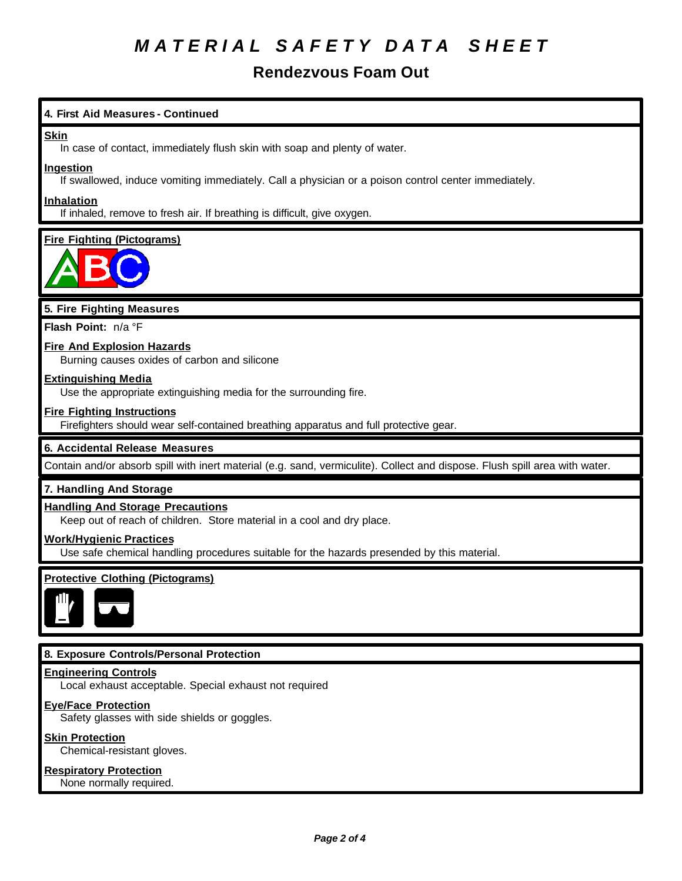# *M A T E R I A L S A F E T Y D A T A S H E E T*

# **Rendezvous Foam Out**

# **4. First Aid Measures - Continued**

#### **Skin**

In case of contact, immediately flush skin with soap and plenty of water.

#### **Ingestion**

If swallowed, induce vomiting immediately. Call a physician or a poison control center immediately.

### **Inhalation**

If inhaled, remove to fresh air. If breathing is difficult, give oxygen.

# **Fire Fighting (Pictograms)**



# **5. Fire Fighting Measures**

**Flash Point:** n/a °F

# **Fire And Explosion Hazards**

Burning causes oxides of carbon and silicone

### **Extinguishing Media**

Use the appropriate extinguishing media for the surrounding fire.

### **Fire Fighting Instructions**

Firefighters should wear self-contained breathing apparatus and full protective gear.

# **6. Accidental Release Measures**

Contain and/or absorb spill with inert material (e.g. sand, vermiculite). Collect and dispose. Flush spill area with water.

# **7. Handling And Storage**

#### **Handling And Storage Precautions**

Keep out of reach of children. Store material in a cool and dry place.

#### **Work/Hygienic Practices**

Use safe chemical handling procedures suitable for the hazards presended by this material.

# **Protective Clothing (Pictograms)**



# **8. Exposure Controls/Personal Protection**

#### **Engineering Controls**

Local exhaust acceptable. Special exhaust not required

#### **Eye/Face Protection**

Safety glasses with side shields or goggles.

#### **Skin Protection**

Chemical-resistant gloves.

#### **Respiratory Protection**

None normally required.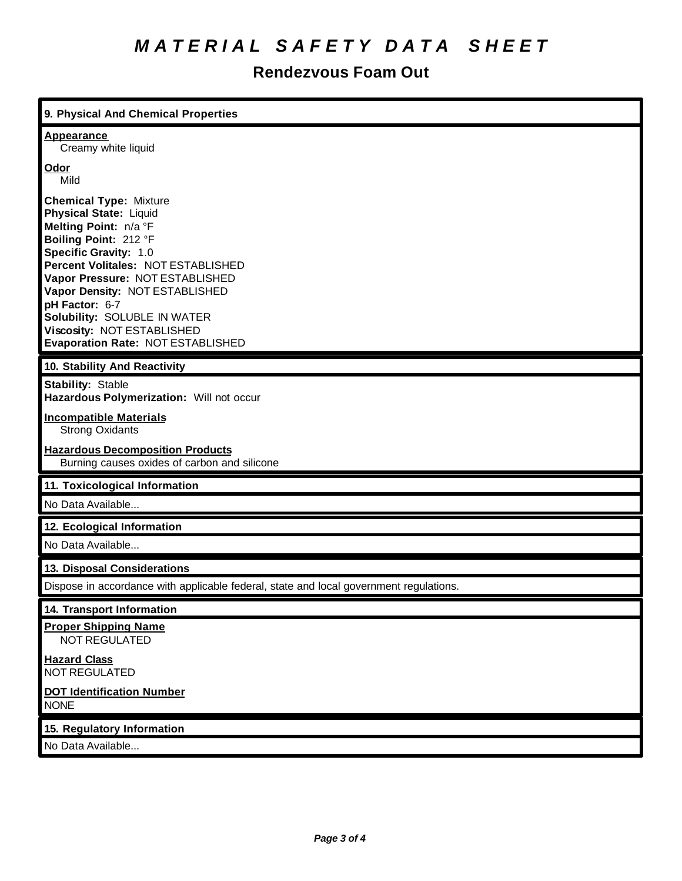# *M A T E R I A L S A F E T Y D A T A S H E E T*

# **Rendezvous Foam Out**

| 9. Physical And Chemical Properties                                                                                                                                                                                                                                                                                                                                |
|--------------------------------------------------------------------------------------------------------------------------------------------------------------------------------------------------------------------------------------------------------------------------------------------------------------------------------------------------------------------|
| <b>Appearance</b><br>Creamy white liquid                                                                                                                                                                                                                                                                                                                           |
| Odor<br>Mild                                                                                                                                                                                                                                                                                                                                                       |
| <b>Chemical Type: Mixture</b><br>Physical State: Liquid<br>Melting Point: n/a °F<br>Boiling Point: 212 °F<br>Specific Gravity: 1.0<br>Percent Volitales: NOT ESTABLISHED<br>Vapor Pressure: NOT ESTABLISHED<br>Vapor Density: NOT ESTABLISHED<br>pH Factor: 6-7<br>Solubility: SOLUBLE IN WATER<br>Viscosity: NOT ESTABLISHED<br>Evaporation Rate: NOT ESTABLISHED |
| 10. Stability And Reactivity                                                                                                                                                                                                                                                                                                                                       |
| <b>Stability: Stable</b><br>Hazardous Polymerization: Will not occur                                                                                                                                                                                                                                                                                               |
| <b>Incompatible Materials</b><br><b>Strong Oxidants</b>                                                                                                                                                                                                                                                                                                            |
| <b>Hazardous Decomposition Products</b><br>Burning causes oxides of carbon and silicone                                                                                                                                                                                                                                                                            |
| 11. Toxicological Information                                                                                                                                                                                                                                                                                                                                      |
| No Data Available                                                                                                                                                                                                                                                                                                                                                  |
| 12. Ecological Information                                                                                                                                                                                                                                                                                                                                         |
| No Data Available                                                                                                                                                                                                                                                                                                                                                  |
| 13. Disposal Considerations                                                                                                                                                                                                                                                                                                                                        |
| Dispose in accordance with applicable federal, state and local government regulations.                                                                                                                                                                                                                                                                             |
| 14. Transport Information                                                                                                                                                                                                                                                                                                                                          |
| <b>Proper Shipping Name</b><br>NOT REGULATED                                                                                                                                                                                                                                                                                                                       |
| <b>Hazard Class</b><br><b>NOT REGULATED</b>                                                                                                                                                                                                                                                                                                                        |
| <b>DOT Identification Number</b><br><b>NONE</b>                                                                                                                                                                                                                                                                                                                    |
| 15. Regulatory Information                                                                                                                                                                                                                                                                                                                                         |
|                                                                                                                                                                                                                                                                                                                                                                    |

No Data Available...

×